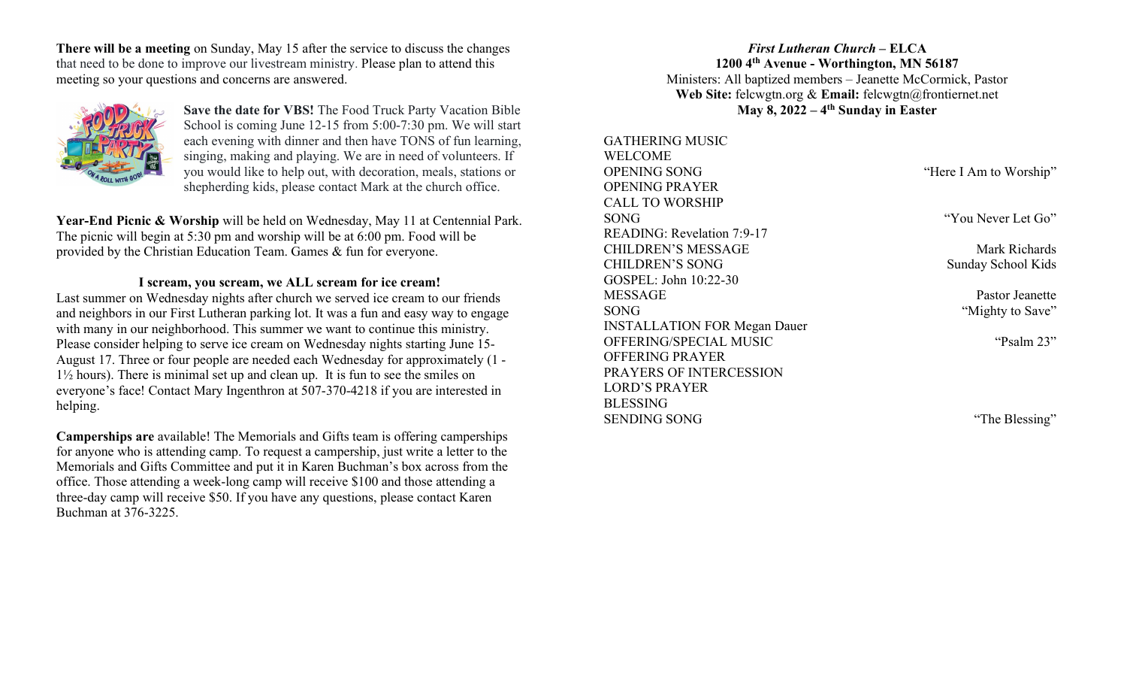There will be a meeting on Sunday, May 15 after the service to discuss the changes that need to be done to improve our livestream ministry. Please plan to attend this meeting so your questions and concerns are answered.



Save the date for VBS! The Food Truck Party Vacation Bible School is coming June 12-15 from 5:00-7:30 pm. We will start each evening with dinner and then have TONS of fun learning, singing, making and playing. We are in need of volunteers. If you would like to help out, with decoration, meals, stations or shepherding kids, please contact Mark at the church office.

Year-End Picnic & Worship will be held on Wednesday, May 11 at Centennial Park. The picnic will begin at 5:30 pm and worship will be at 6:00 pm. Food will be provided by the Christian Education Team. Games & fun for everyone.

# I scream, you scream, we ALL scream for ice cream!

Last summer on Wednesday nights after church we served ice cream to our friends and neighbors in our First Lutheran parking lot. It was a fun and easy way to engage with many in our neighborhood. This summer we want to continue this ministry. Please consider helping to serve ice cream on Wednesday nights starting June 15- August 17. Three or four people are needed each Wednesday for approximately (1 - 1½ hours). There is minimal set up and clean up. It is fun to see the smiles on everyone's face! Contact Mary Ingenthron at 507-370-4218 if you are interested in helping.

Camperships are available! The Memorials and Gifts team is offering camperships for anyone who is attending camp. To request a campership, just write a letter to the Memorials and Gifts Committee and put it in Karen Buchman's box across from the office. Those attending a week-long camp will receive \$100 and those attending a three-day camp will receive \$50. If you have any questions, please contact Karen Buchman at 376-3225.

First Lutheran Church – ELCA 1200 4th Avenue - Worthington, MN 56187 Ministers: All baptized members – Jeanette McCormick, Pastor Web Site: felcwgtn.org & Email: felcwgtn@frontiernet.net May 8,  $2022 - 4$ <sup>th</sup> Sunday in Easter

| <b>GATHERING MUSIC</b>              |                        |
|-------------------------------------|------------------------|
| WELCOME                             |                        |
| <b>OPENING SONG</b>                 | "Here I Am to Worship" |
| <b>OPENING PRAYER</b>               |                        |
| <b>CALL TO WORSHIP</b>              |                        |
| SONG                                | "You Never Let Go"     |
| READING: Revelation 7:9-17          |                        |
| <b>CHILDREN'S MESSAGE</b>           | Mark Richards          |
| <b>CHILDREN'S SONG</b>              | Sunday School Kids     |
| GOSPEL: John 10:22-30               |                        |
| <b>MESSAGE</b>                      | Pastor Jeanette        |
| SONG                                | "Mighty to Save"       |
| <b>INSTALLATION FOR Megan Dauer</b> |                        |
| OFFERING/SPECIAL MUSIC              | "Psalm 23"             |
| <b>OFFERING PRAYER</b>              |                        |
| PRAYERS OF INTERCESSION             |                        |
| <b>LORD'S PRAYER</b>                |                        |
| <b>BLESSING</b>                     |                        |
| <b>SENDING SONG</b>                 | "The Blessing"         |